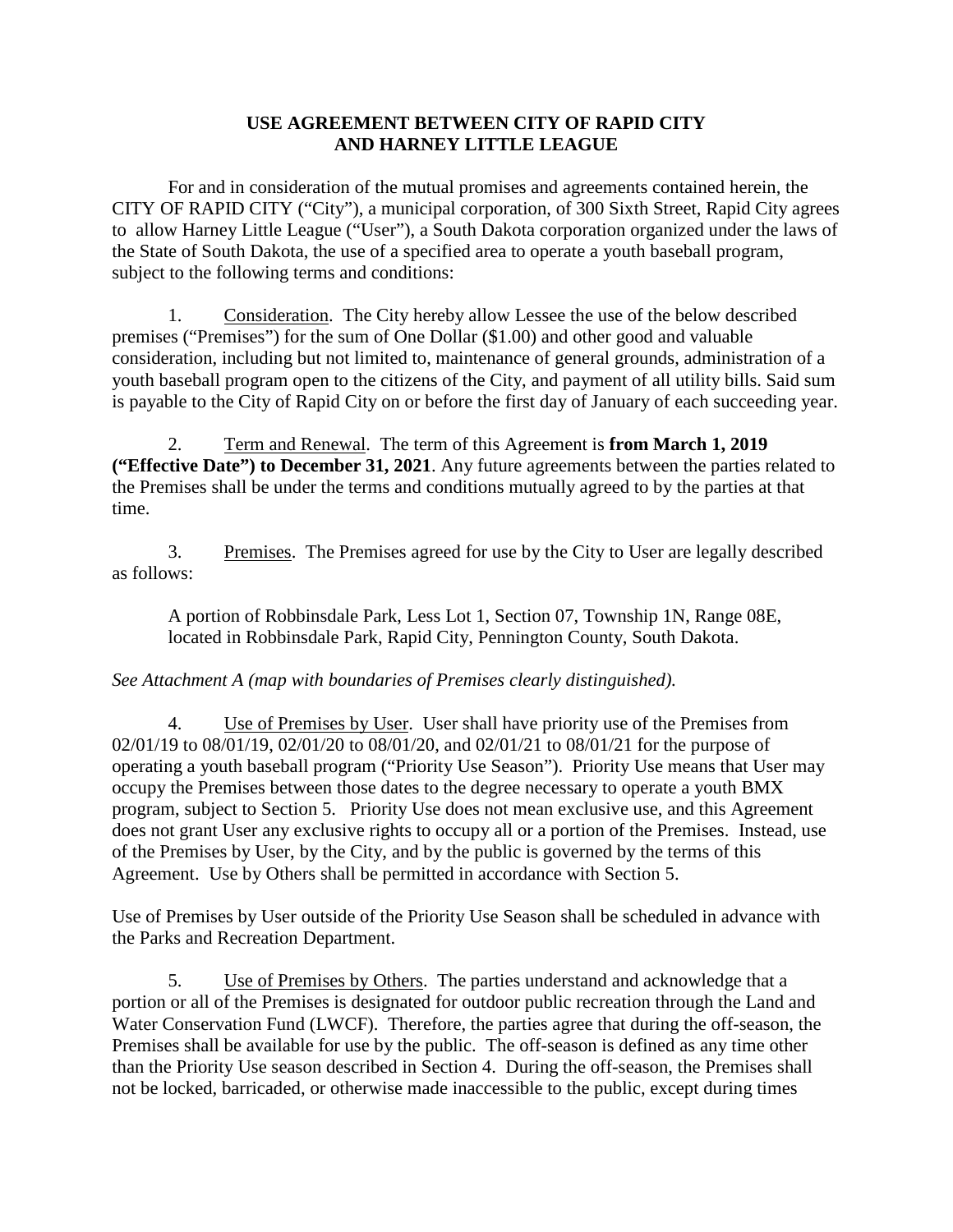### **USE AGREEMENT BETWEEN CITY OF RAPID CITY AND HARNEY LITTLE LEAGUE**

For and in consideration of the mutual promises and agreements contained herein, the CITY OF RAPID CITY ("City"), a municipal corporation, of 300 Sixth Street, Rapid City agrees to allow Harney Little League ("User"), a South Dakota corporation organized under the laws of the State of South Dakota, the use of a specified area to operate a youth baseball program, subject to the following terms and conditions:

1. Consideration. The City hereby allow Lessee the use of the below described premises ("Premises") for the sum of One Dollar (\$1.00) and other good and valuable consideration, including but not limited to, maintenance of general grounds, administration of a youth baseball program open to the citizens of the City, and payment of all utility bills. Said sum is payable to the City of Rapid City on or before the first day of January of each succeeding year.

2. Term and Renewal. The term of this Agreement is **from March 1, 2019 ("Effective Date") to December 31, 2021**. Any future agreements between the parties related to the Premises shall be under the terms and conditions mutually agreed to by the parties at that time.

3. Premises. The Premises agreed for use by the City to User are legally described as follows:

A portion of Robbinsdale Park, Less Lot 1, Section 07, Township 1N, Range 08E, located in Robbinsdale Park, Rapid City, Pennington County, South Dakota.

## *See Attachment A (map with boundaries of Premises clearly distinguished).*

4. Use of Premises by User. User shall have priority use of the Premises from 02/01/19 to 08/01/19, 02/01/20 to 08/01/20, and 02/01/21 to 08/01/21 for the purpose of operating a youth baseball program ("Priority Use Season"). Priority Use means that User may occupy the Premises between those dates to the degree necessary to operate a youth BMX program, subject to Section 5. Priority Use does not mean exclusive use, and this Agreement does not grant User any exclusive rights to occupy all or a portion of the Premises. Instead, use of the Premises by User, by the City, and by the public is governed by the terms of this Agreement. Use by Others shall be permitted in accordance with Section 5.

Use of Premises by User outside of the Priority Use Season shall be scheduled in advance with the Parks and Recreation Department.

5. Use of Premises by Others. The parties understand and acknowledge that a portion or all of the Premises is designated for outdoor public recreation through the Land and Water Conservation Fund (LWCF). Therefore, the parties agree that during the off-season, the Premises shall be available for use by the public. The off-season is defined as any time other than the Priority Use season described in Section 4. During the off-season, the Premises shall not be locked, barricaded, or otherwise made inaccessible to the public, except during times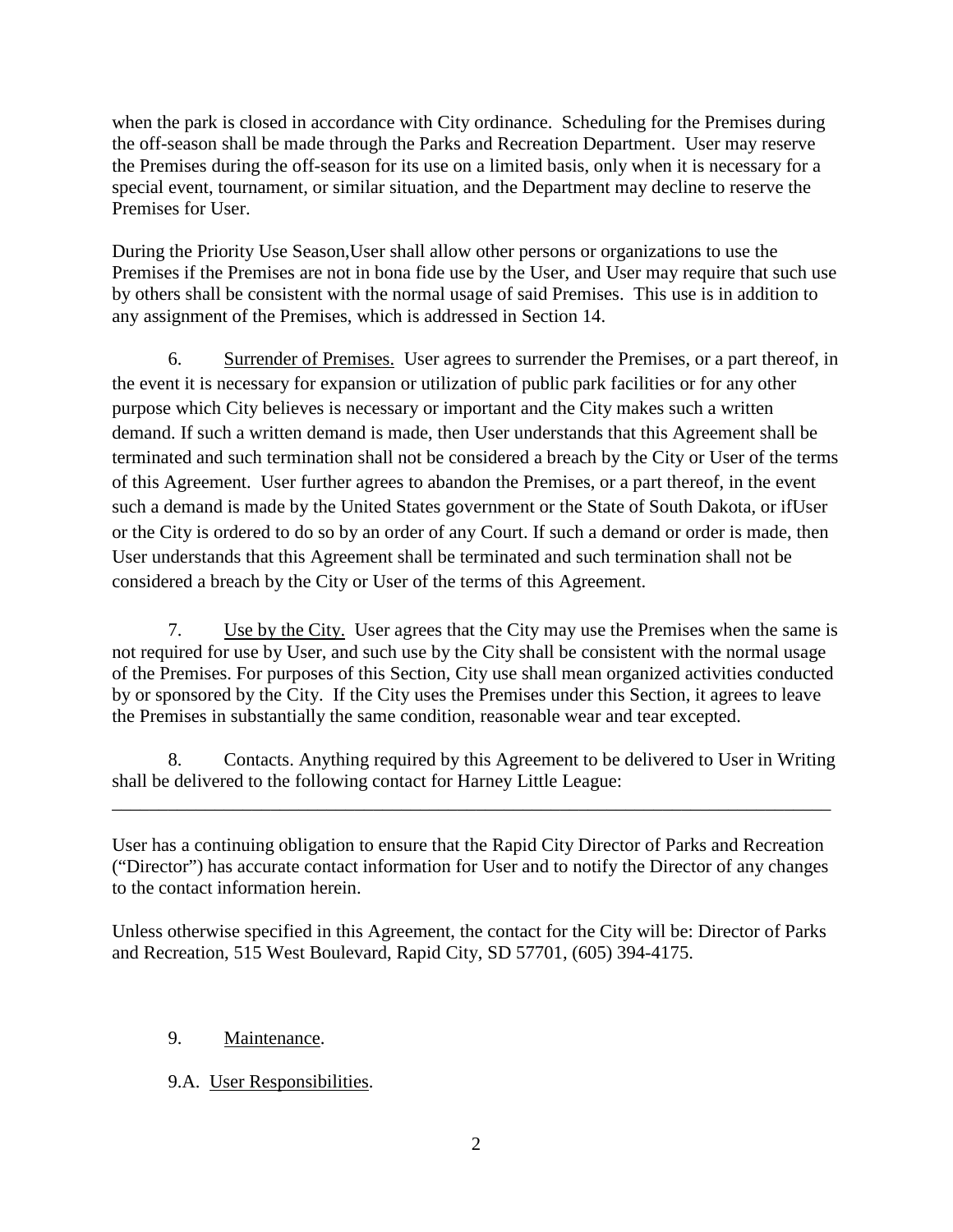when the park is closed in accordance with City ordinance. Scheduling for the Premises during the off-season shall be made through the Parks and Recreation Department. User may reserve the Premises during the off-season for its use on a limited basis, only when it is necessary for a special event, tournament, or similar situation, and the Department may decline to reserve the Premises for User.

During the Priority Use Season,User shall allow other persons or organizations to use the Premises if the Premises are not in bona fide use by the User, and User may require that such use by others shall be consistent with the normal usage of said Premises. This use is in addition to any assignment of the Premises, which is addressed in Section 14.

6. Surrender of Premises. User agrees to surrender the Premises, or a part thereof, in the event it is necessary for expansion or utilization of public park facilities or for any other purpose which City believes is necessary or important and the City makes such a written demand. If such a written demand is made, then User understands that this Agreement shall be terminated and such termination shall not be considered a breach by the City or User of the terms of this Agreement. User further agrees to abandon the Premises, or a part thereof, in the event such a demand is made by the United States government or the State of South Dakota, or ifUser or the City is ordered to do so by an order of any Court. If such a demand or order is made, then User understands that this Agreement shall be terminated and such termination shall not be considered a breach by the City or User of the terms of this Agreement.

7. Use by the City. User agrees that the City may use the Premises when the same is not required for use by User, and such use by the City shall be consistent with the normal usage of the Premises. For purposes of this Section, City use shall mean organized activities conducted by or sponsored by the City. If the City uses the Premises under this Section, it agrees to leave the Premises in substantially the same condition, reasonable wear and tear excepted.

8. Contacts. Anything required by this Agreement to be delivered to User in Writing shall be delivered to the following contact for Harney Little League:

\_\_\_\_\_\_\_\_\_\_\_\_\_\_\_\_\_\_\_\_\_\_\_\_\_\_\_\_\_\_\_\_\_\_\_\_\_\_\_\_\_\_\_\_\_\_\_\_\_\_\_\_\_\_\_\_\_\_\_\_\_\_\_\_\_\_\_\_\_\_\_\_\_\_\_\_\_

User has a continuing obligation to ensure that the Rapid City Director of Parks and Recreation ("Director") has accurate contact information for User and to notify the Director of any changes to the contact information herein.

Unless otherwise specified in this Agreement, the contact for the City will be: Director of Parks and Recreation, 515 West Boulevard, Rapid City, SD 57701, (605) 394-4175.

# 9. Maintenance.

## 9.A. User Responsibilities.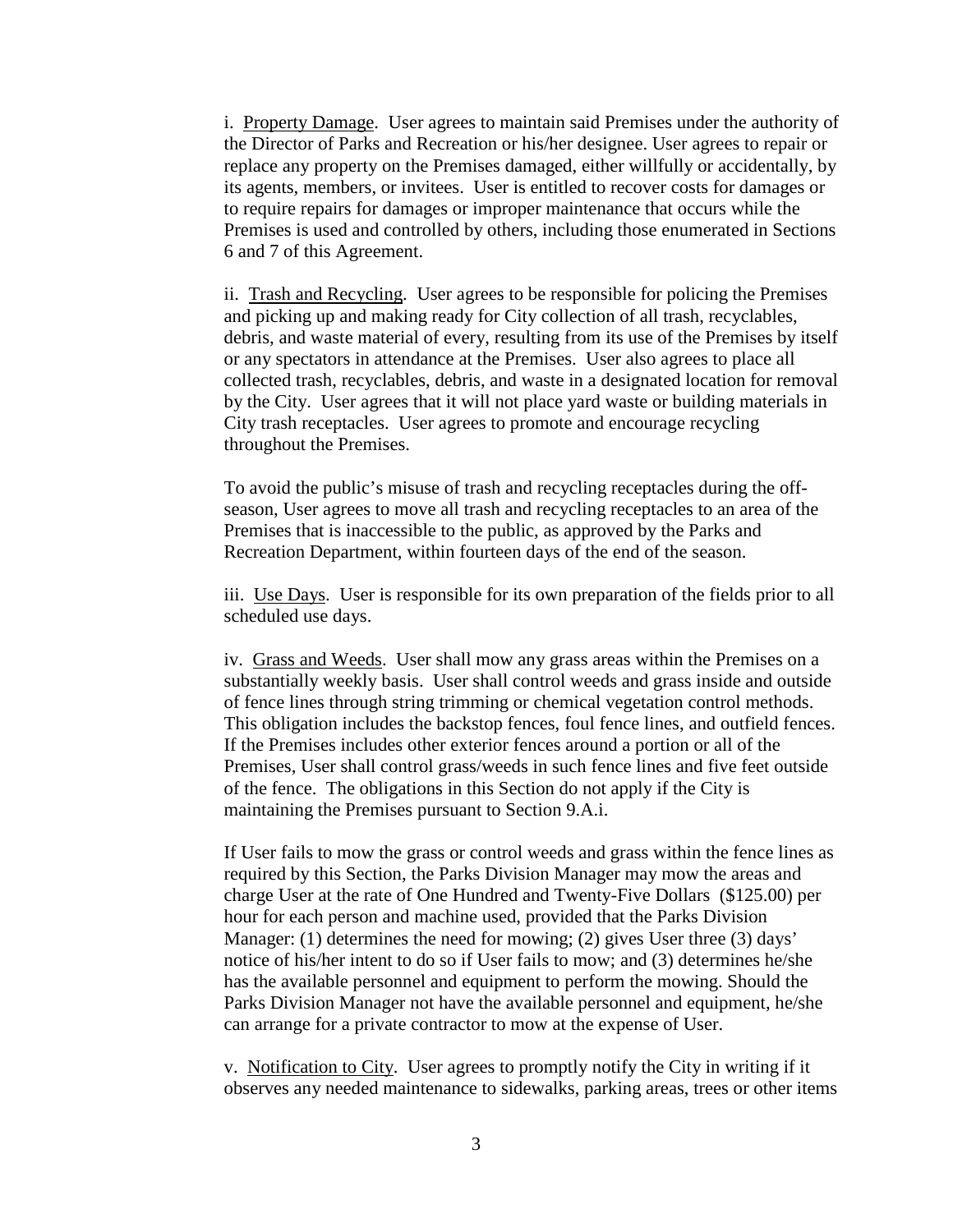i. Property Damage. User agrees to maintain said Premises under the authority of the Director of Parks and Recreation or his/her designee. User agrees to repair or replace any property on the Premises damaged, either willfully or accidentally, by its agents, members, or invitees. User is entitled to recover costs for damages or to require repairs for damages or improper maintenance that occurs while the Premises is used and controlled by others, including those enumerated in Sections 6 and 7 of this Agreement.

ii. Trash and Recycling. User agrees to be responsible for policing the Premises and picking up and making ready for City collection of all trash, recyclables, debris, and waste material of every, resulting from its use of the Premises by itself or any spectators in attendance at the Premises. User also agrees to place all collected trash, recyclables, debris, and waste in a designated location for removal by the City. User agrees that it will not place yard waste or building materials in City trash receptacles. User agrees to promote and encourage recycling throughout the Premises.

To avoid the public's misuse of trash and recycling receptacles during the offseason, User agrees to move all trash and recycling receptacles to an area of the Premises that is inaccessible to the public, as approved by the Parks and Recreation Department, within fourteen days of the end of the season.

iii. Use Days. User is responsible for its own preparation of the fields prior to all scheduled use days.

iv. Grass and Weeds. User shall mow any grass areas within the Premises on a substantially weekly basis. User shall control weeds and grass inside and outside of fence lines through string trimming or chemical vegetation control methods. This obligation includes the backstop fences, foul fence lines, and outfield fences. If the Premises includes other exterior fences around a portion or all of the Premises, User shall control grass/weeds in such fence lines and five feet outside of the fence. The obligations in this Section do not apply if the City is maintaining the Premises pursuant to Section 9.A.i.

If User fails to mow the grass or control weeds and grass within the fence lines as required by this Section, the Parks Division Manager may mow the areas and charge User at the rate of One Hundred and Twenty-Five Dollars (\$125.00) per hour for each person and machine used, provided that the Parks Division Manager: (1) determines the need for mowing; (2) gives User three (3) days' notice of his/her intent to do so if User fails to mow; and (3) determines he/she has the available personnel and equipment to perform the mowing. Should the Parks Division Manager not have the available personnel and equipment, he/she can arrange for a private contractor to mow at the expense of User.

v. Notification to City. User agrees to promptly notify the City in writing if it observes any needed maintenance to sidewalks, parking areas, trees or other items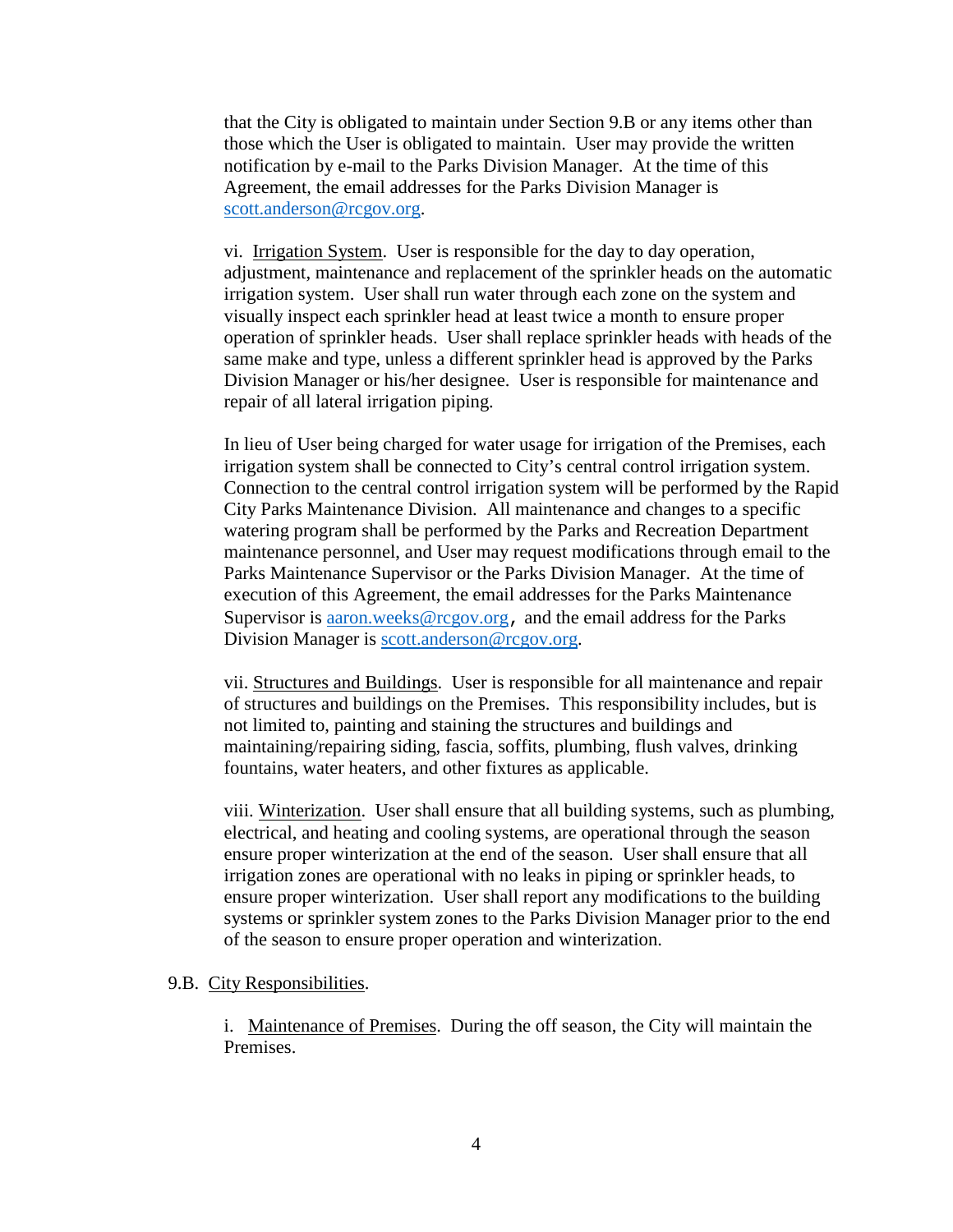that the City is obligated to maintain under Section 9.B or any items other than those which the User is obligated to maintain. User may provide the written notification by e-mail to the Parks Division Manager. At the time of this Agreement, the email addresses for the Parks Division Manager is [scott.anderson@rcgov.org.](mailto:scott.anderson@rcgov.org)

vi. Irrigation System. User is responsible for the day to day operation, adjustment, maintenance and replacement of the sprinkler heads on the automatic irrigation system. User shall run water through each zone on the system and visually inspect each sprinkler head at least twice a month to ensure proper operation of sprinkler heads. User shall replace sprinkler heads with heads of the same make and type, unless a different sprinkler head is approved by the Parks Division Manager or his/her designee. User is responsible for maintenance and repair of all lateral irrigation piping.

In lieu of User being charged for water usage for irrigation of the Premises, each irrigation system shall be connected to City's central control irrigation system. Connection to the central control irrigation system will be performed by the Rapid City Parks Maintenance Division. All maintenance and changes to a specific watering program shall be performed by the Parks and Recreation Department maintenance personnel, and User may request modifications through email to the Parks Maintenance Supervisor or the Parks Division Manager. At the time of execution of this Agreement, the email addresses for the Parks Maintenance Supervisor is [aaron.weeks@rcgov.org](mailto:aaron.weeks@rcgov.org), and the email address for the Parks Division Manager is [scott.anderson@rcgov.org.](mailto:scott.anderson@rcgov.org)

vii. Structures and Buildings. User is responsible for all maintenance and repair of structures and buildings on the Premises. This responsibility includes, but is not limited to, painting and staining the structures and buildings and maintaining/repairing siding, fascia, soffits, plumbing, flush valves, drinking fountains, water heaters, and other fixtures as applicable.

viii. Winterization. User shall ensure that all building systems, such as plumbing, electrical, and heating and cooling systems, are operational through the season ensure proper winterization at the end of the season. User shall ensure that all irrigation zones are operational with no leaks in piping or sprinkler heads, to ensure proper winterization. User shall report any modifications to the building systems or sprinkler system zones to the Parks Division Manager prior to the end of the season to ensure proper operation and winterization.

#### 9.B. City Responsibilities.

i. Maintenance of Premises. During the off season, the City will maintain the Premises.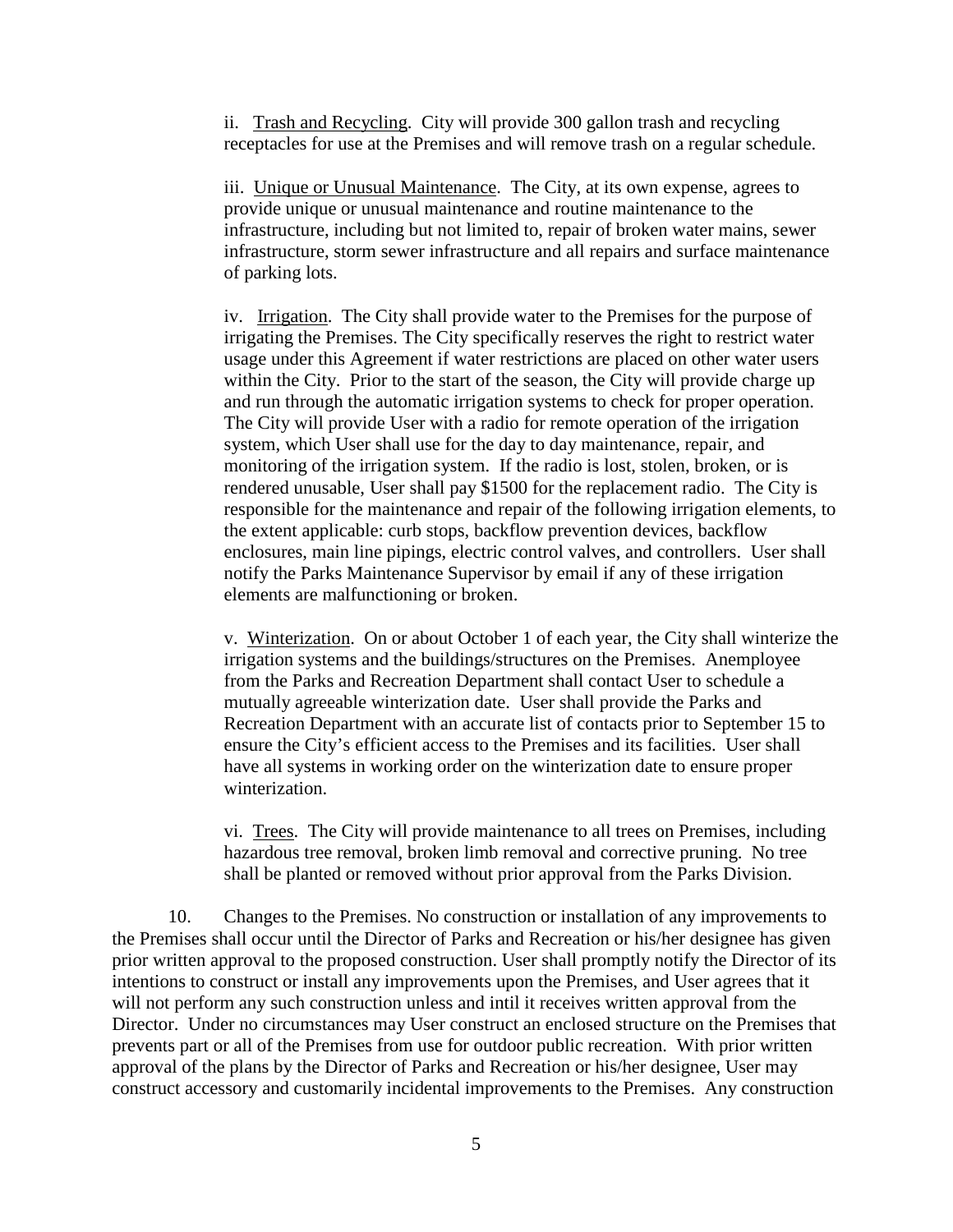ii. Trash and Recycling. City will provide 300 gallon trash and recycling receptacles for use at the Premises and will remove trash on a regular schedule.

iii. Unique or Unusual Maintenance. The City, at its own expense, agrees to provide unique or unusual maintenance and routine maintenance to the infrastructure, including but not limited to, repair of broken water mains, sewer infrastructure, storm sewer infrastructure and all repairs and surface maintenance of parking lots.

iv. Irrigation. The City shall provide water to the Premises for the purpose of irrigating the Premises. The City specifically reserves the right to restrict water usage under this Agreement if water restrictions are placed on other water users within the City. Prior to the start of the season, the City will provide charge up and run through the automatic irrigation systems to check for proper operation. The City will provide User with a radio for remote operation of the irrigation system, which User shall use for the day to day maintenance, repair, and monitoring of the irrigation system. If the radio is lost, stolen, broken, or is rendered unusable, User shall pay \$1500 for the replacement radio. The City is responsible for the maintenance and repair of the following irrigation elements, to the extent applicable: curb stops, backflow prevention devices, backflow enclosures, main line pipings, electric control valves, and controllers. User shall notify the Parks Maintenance Supervisor by email if any of these irrigation elements are malfunctioning or broken.

v. Winterization. On or about October 1 of each year, the City shall winterize the irrigation systems and the buildings/structures on the Premises. Anemployee from the Parks and Recreation Department shall contact User to schedule a mutually agreeable winterization date. User shall provide the Parks and Recreation Department with an accurate list of contacts prior to September 15 to ensure the City's efficient access to the Premises and its facilities. User shall have all systems in working order on the winterization date to ensure proper winterization.

vi. Trees. The City will provide maintenance to all trees on Premises, including hazardous tree removal, broken limb removal and corrective pruning. No tree shall be planted or removed without prior approval from the Parks Division.

10. Changes to the Premises. No construction or installation of any improvements to the Premises shall occur until the Director of Parks and Recreation or his/her designee has given prior written approval to the proposed construction. User shall promptly notify the Director of its intentions to construct or install any improvements upon the Premises, and User agrees that it will not perform any such construction unless and intil it receives written approval from the Director. Under no circumstances may User construct an enclosed structure on the Premises that prevents part or all of the Premises from use for outdoor public recreation. With prior written approval of the plans by the Director of Parks and Recreation or his/her designee, User may construct accessory and customarily incidental improvements to the Premises. Any construction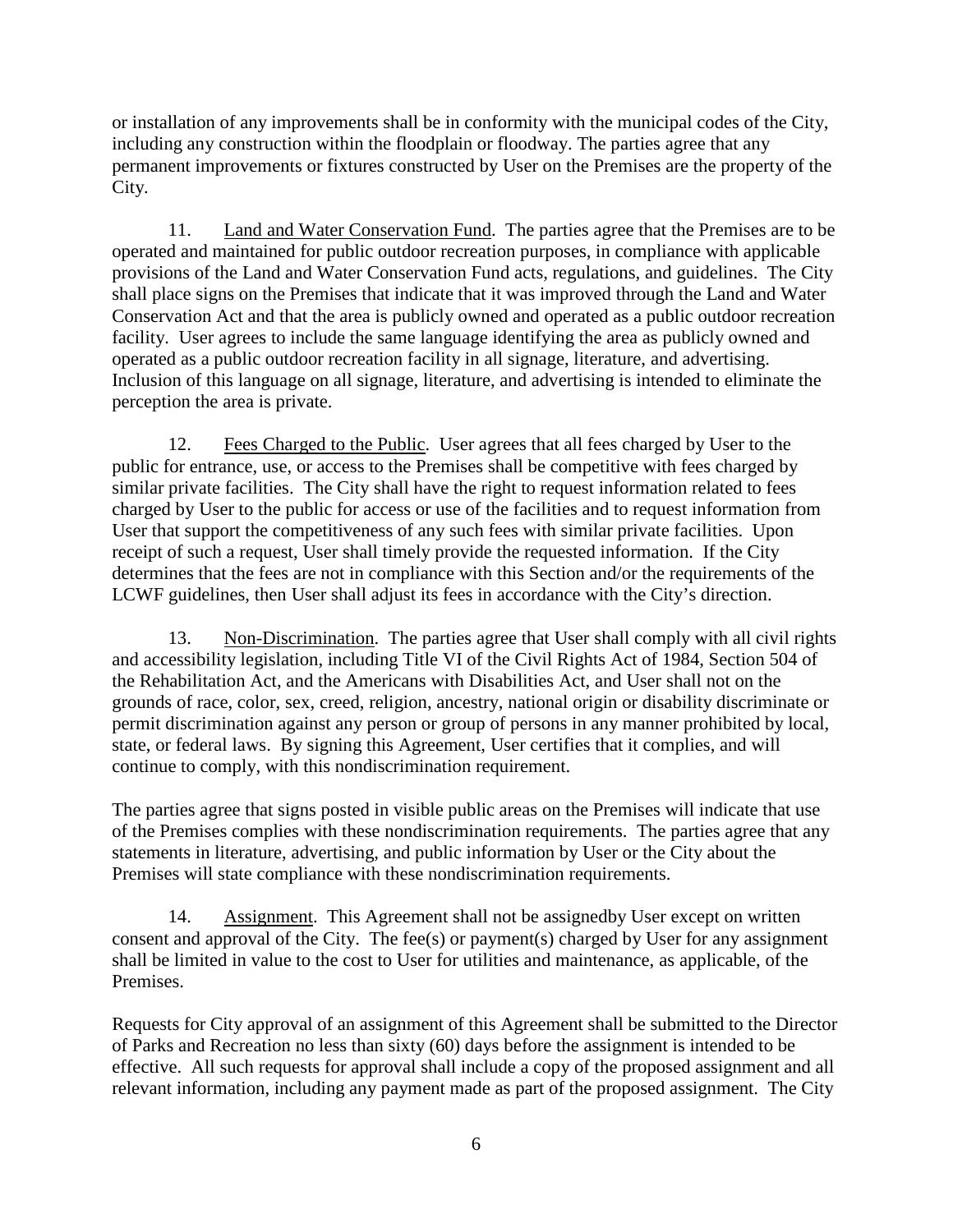or installation of any improvements shall be in conformity with the municipal codes of the City, including any construction within the floodplain or floodway. The parties agree that any permanent improvements or fixtures constructed by User on the Premises are the property of the City.

11. Land and Water Conservation Fund. The parties agree that the Premises are to be operated and maintained for public outdoor recreation purposes, in compliance with applicable provisions of the Land and Water Conservation Fund acts, regulations, and guidelines. The City shall place signs on the Premises that indicate that it was improved through the Land and Water Conservation Act and that the area is publicly owned and operated as a public outdoor recreation facility. User agrees to include the same language identifying the area as publicly owned and operated as a public outdoor recreation facility in all signage, literature, and advertising. Inclusion of this language on all signage, literature, and advertising is intended to eliminate the perception the area is private.

12. Fees Charged to the Public. User agrees that all fees charged by User to the public for entrance, use, or access to the Premises shall be competitive with fees charged by similar private facilities. The City shall have the right to request information related to fees charged by User to the public for access or use of the facilities and to request information from User that support the competitiveness of any such fees with similar private facilities. Upon receipt of such a request, User shall timely provide the requested information. If the City determines that the fees are not in compliance with this Section and/or the requirements of the LCWF guidelines, then User shall adjust its fees in accordance with the City's direction.

13. Non-Discrimination. The parties agree that User shall comply with all civil rights and accessibility legislation, including Title VI of the Civil Rights Act of 1984, Section 504 of the Rehabilitation Act, and the Americans with Disabilities Act, and User shall not on the grounds of race, color, sex, creed, religion, ancestry, national origin or disability discriminate or permit discrimination against any person or group of persons in any manner prohibited by local, state, or federal laws. By signing this Agreement, User certifies that it complies, and will continue to comply, with this nondiscrimination requirement.

The parties agree that signs posted in visible public areas on the Premises will indicate that use of the Premises complies with these nondiscrimination requirements. The parties agree that any statements in literature, advertising, and public information by User or the City about the Premises will state compliance with these nondiscrimination requirements.

14. Assignment. This Agreement shall not be assignedby User except on written consent and approval of the City. The fee(s) or payment(s) charged by User for any assignment shall be limited in value to the cost to User for utilities and maintenance, as applicable, of the Premises.

Requests for City approval of an assignment of this Agreement shall be submitted to the Director of Parks and Recreation no less than sixty (60) days before the assignment is intended to be effective. All such requests for approval shall include a copy of the proposed assignment and all relevant information, including any payment made as part of the proposed assignment. The City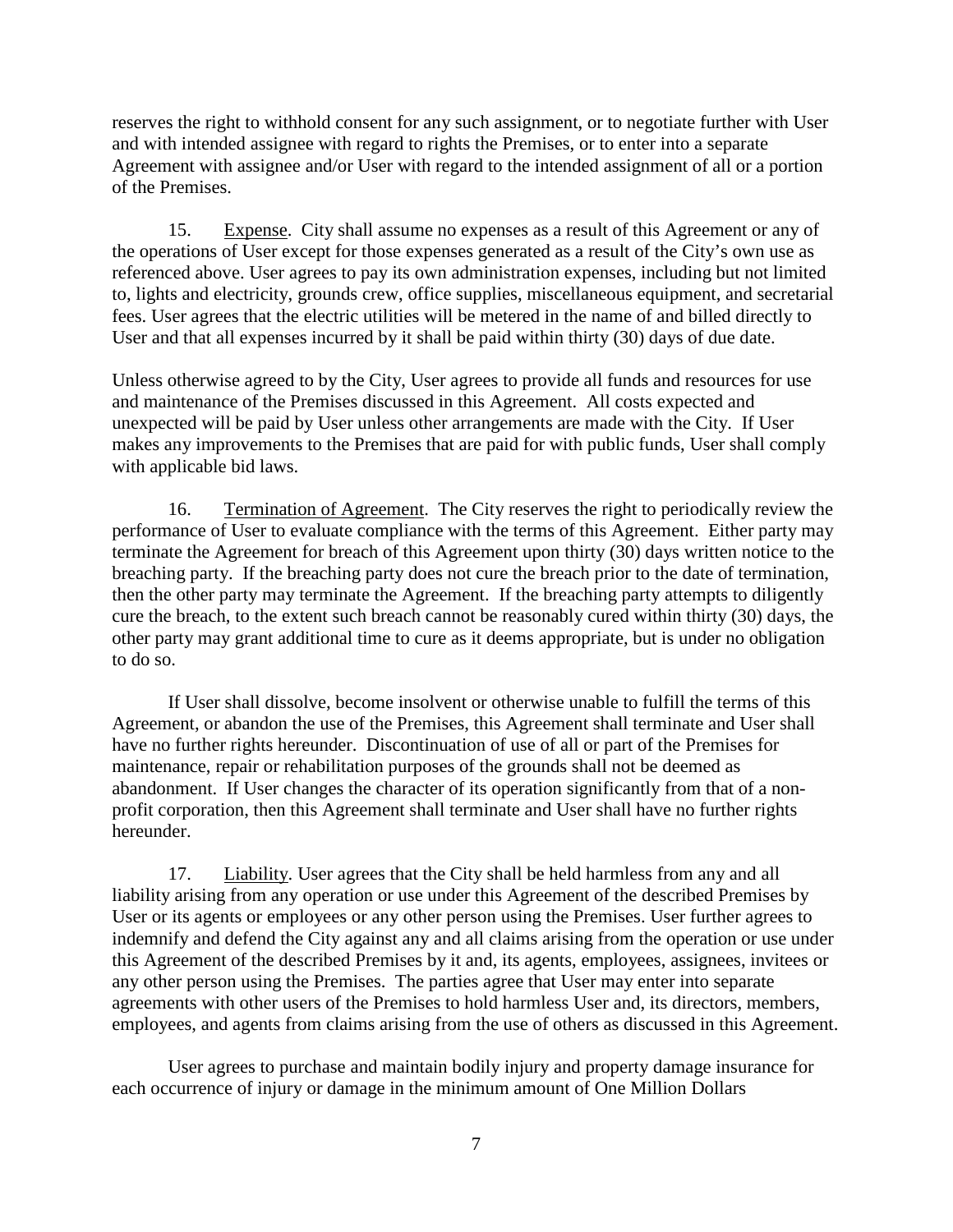reserves the right to withhold consent for any such assignment, or to negotiate further with User and with intended assignee with regard to rights the Premises, or to enter into a separate Agreement with assignee and/or User with regard to the intended assignment of all or a portion of the Premises.

15. Expense. City shall assume no expenses as a result of this Agreement or any of the operations of User except for those expenses generated as a result of the City's own use as referenced above. User agrees to pay its own administration expenses, including but not limited to, lights and electricity, grounds crew, office supplies, miscellaneous equipment, and secretarial fees. User agrees that the electric utilities will be metered in the name of and billed directly to User and that all expenses incurred by it shall be paid within thirty (30) days of due date.

Unless otherwise agreed to by the City, User agrees to provide all funds and resources for use and maintenance of the Premises discussed in this Agreement. All costs expected and unexpected will be paid by User unless other arrangements are made with the City. If User makes any improvements to the Premises that are paid for with public funds, User shall comply with applicable bid laws.

16. Termination of Agreement. The City reserves the right to periodically review the performance of User to evaluate compliance with the terms of this Agreement. Either party may terminate the Agreement for breach of this Agreement upon thirty (30) days written notice to the breaching party. If the breaching party does not cure the breach prior to the date of termination, then the other party may terminate the Agreement. If the breaching party attempts to diligently cure the breach, to the extent such breach cannot be reasonably cured within thirty (30) days, the other party may grant additional time to cure as it deems appropriate, but is under no obligation to do so.

If User shall dissolve, become insolvent or otherwise unable to fulfill the terms of this Agreement, or abandon the use of the Premises, this Agreement shall terminate and User shall have no further rights hereunder. Discontinuation of use of all or part of the Premises for maintenance, repair or rehabilitation purposes of the grounds shall not be deemed as abandonment. If User changes the character of its operation significantly from that of a nonprofit corporation, then this Agreement shall terminate and User shall have no further rights hereunder.

17. Liability. User agrees that the City shall be held harmless from any and all liability arising from any operation or use under this Agreement of the described Premises by User or its agents or employees or any other person using the Premises. User further agrees to indemnify and defend the City against any and all claims arising from the operation or use under this Agreement of the described Premises by it and, its agents, employees, assignees, invitees or any other person using the Premises. The parties agree that User may enter into separate agreements with other users of the Premises to hold harmless User and, its directors, members, employees, and agents from claims arising from the use of others as discussed in this Agreement.

User agrees to purchase and maintain bodily injury and property damage insurance for each occurrence of injury or damage in the minimum amount of One Million Dollars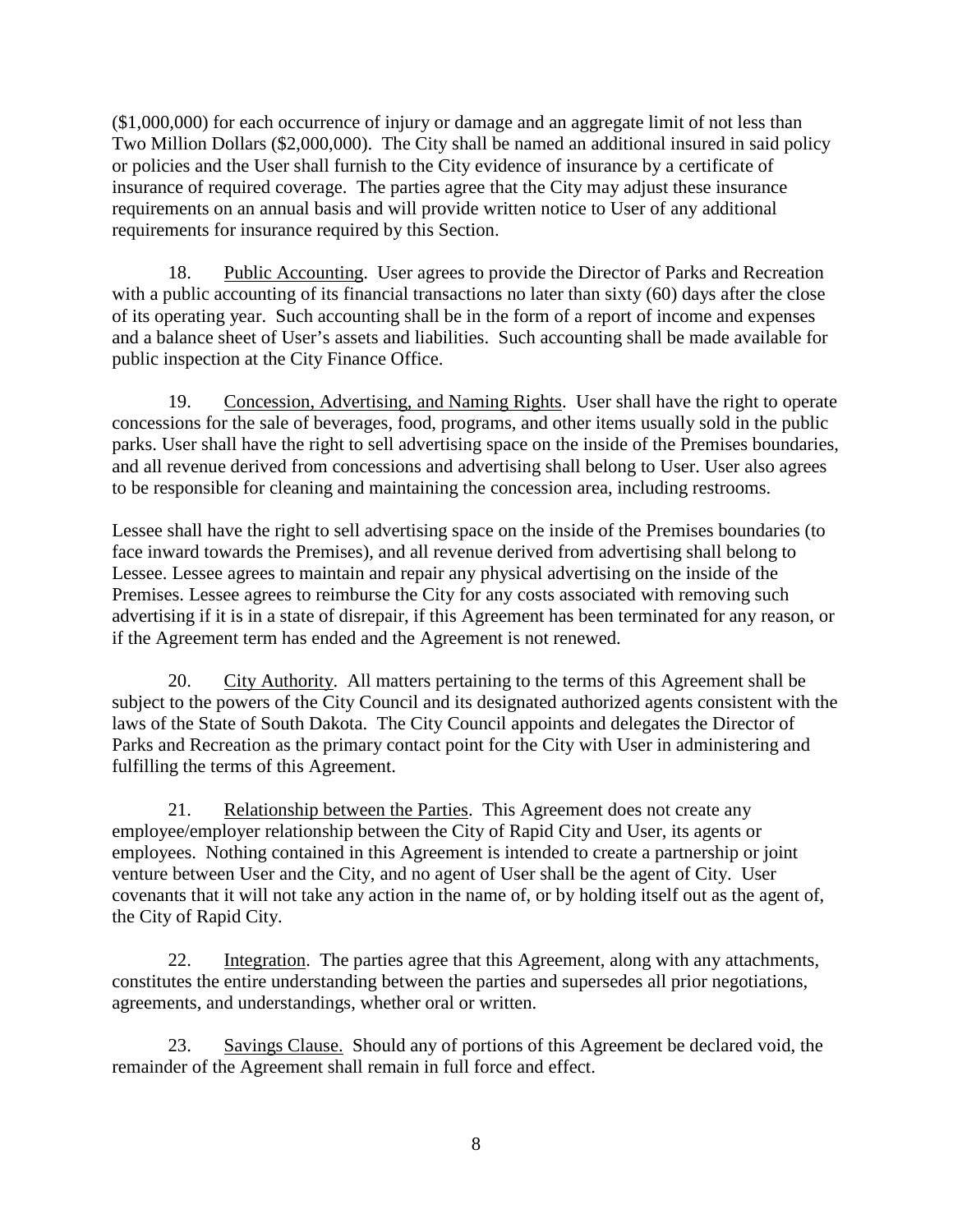(\$1,000,000) for each occurrence of injury or damage and an aggregate limit of not less than Two Million Dollars (\$2,000,000). The City shall be named an additional insured in said policy or policies and the User shall furnish to the City evidence of insurance by a certificate of insurance of required coverage. The parties agree that the City may adjust these insurance requirements on an annual basis and will provide written notice to User of any additional requirements for insurance required by this Section.

18. Public Accounting. User agrees to provide the Director of Parks and Recreation with a public accounting of its financial transactions no later than sixty (60) days after the close of its operating year. Such accounting shall be in the form of a report of income and expenses and a balance sheet of User's assets and liabilities. Such accounting shall be made available for public inspection at the City Finance Office.

19. Concession, Advertising, and Naming Rights. User shall have the right to operate concessions for the sale of beverages, food, programs, and other items usually sold in the public parks. User shall have the right to sell advertising space on the inside of the Premises boundaries, and all revenue derived from concessions and advertising shall belong to User. User also agrees to be responsible for cleaning and maintaining the concession area, including restrooms.

Lessee shall have the right to sell advertising space on the inside of the Premises boundaries (to face inward towards the Premises), and all revenue derived from advertising shall belong to Lessee. Lessee agrees to maintain and repair any physical advertising on the inside of the Premises. Lessee agrees to reimburse the City for any costs associated with removing such advertising if it is in a state of disrepair, if this Agreement has been terminated for any reason, or if the Agreement term has ended and the Agreement is not renewed.

20. City Authority. All matters pertaining to the terms of this Agreement shall be subject to the powers of the City Council and its designated authorized agents consistent with the laws of the State of South Dakota. The City Council appoints and delegates the Director of Parks and Recreation as the primary contact point for the City with User in administering and fulfilling the terms of this Agreement.

21. Relationship between the Parties. This Agreement does not create any employee/employer relationship between the City of Rapid City and User, its agents or employees. Nothing contained in this Agreement is intended to create a partnership or joint venture between User and the City, and no agent of User shall be the agent of City. User covenants that it will not take any action in the name of, or by holding itself out as the agent of, the City of Rapid City.

22. Integration. The parties agree that this Agreement, along with any attachments, constitutes the entire understanding between the parties and supersedes all prior negotiations, agreements, and understandings, whether oral or written.

23. Savings Clause. Should any of portions of this Agreement be declared void, the remainder of the Agreement shall remain in full force and effect.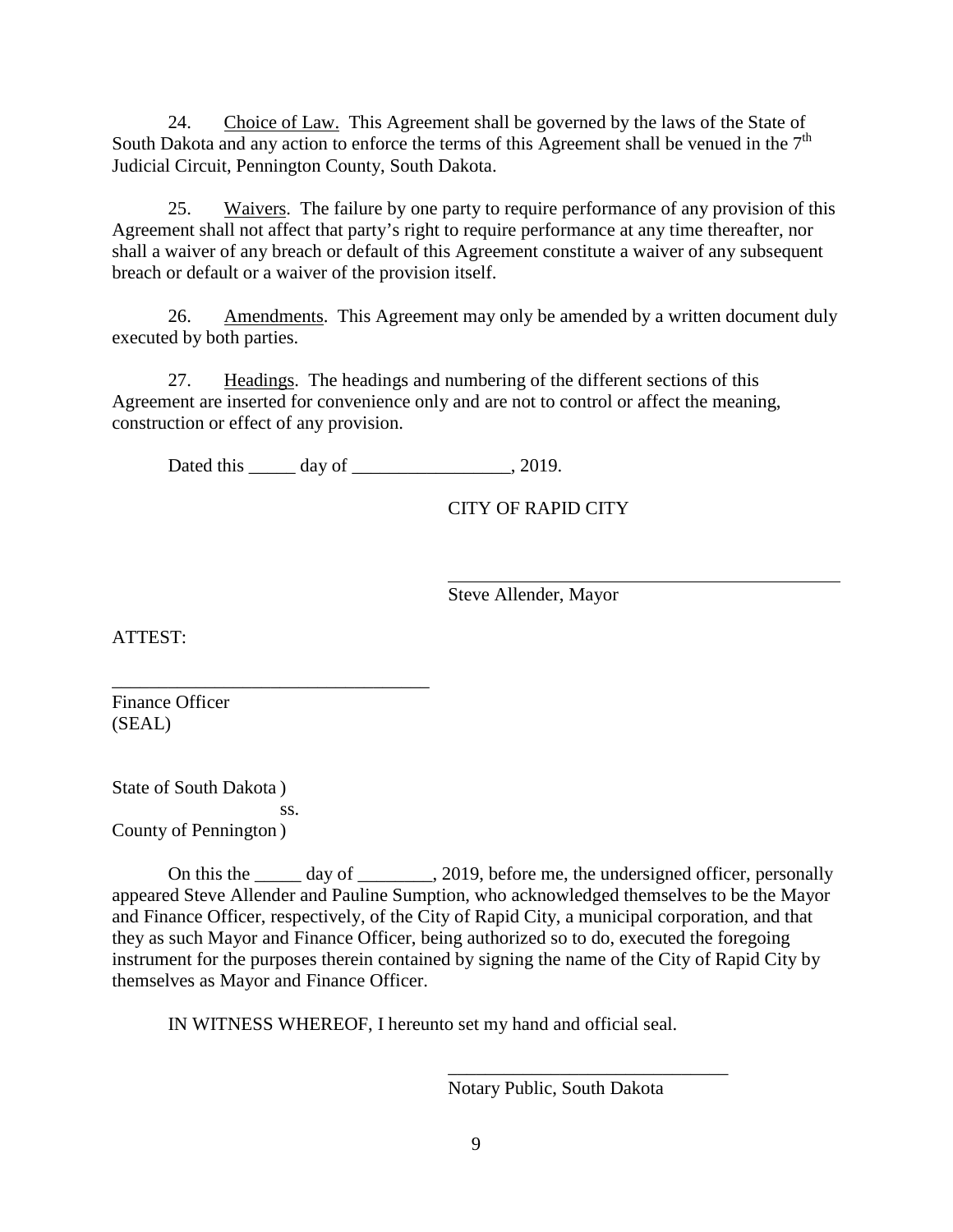24. Choice of Law. This Agreement shall be governed by the laws of the State of South Dakota and any action to enforce the terms of this Agreement shall be venued in the  $7<sup>th</sup>$ Judicial Circuit, Pennington County, South Dakota.

25. Waivers. The failure by one party to require performance of any provision of this Agreement shall not affect that party's right to require performance at any time thereafter, nor shall a waiver of any breach or default of this Agreement constitute a waiver of any subsequent breach or default or a waiver of the provision itself.

26. Amendments. This Agreement may only be amended by a written document duly executed by both parties.

27. Headings. The headings and numbering of the different sections of this Agreement are inserted for convenience only and are not to control or affect the meaning, construction or effect of any provision.

Dated this day of 3.2019.

CITY OF RAPID CITY

Steve Allender, Mayor

ATTEST:

Finance Officer (SEAL)

State of South Dakota ) ss. County of Pennington )

\_\_\_\_\_\_\_\_\_\_\_\_\_\_\_\_\_\_\_\_\_\_\_\_\_\_\_\_\_\_\_\_\_\_

On this the day of  $\qquad \qquad$ , 2019, before me, the undersigned officer, personally appeared Steve Allender and Pauline Sumption, who acknowledged themselves to be the Mayor and Finance Officer, respectively, of the City of Rapid City, a municipal corporation, and that they as such Mayor and Finance Officer, being authorized so to do, executed the foregoing instrument for the purposes therein contained by signing the name of the City of Rapid City by themselves as Mayor and Finance Officer.

IN WITNESS WHEREOF, I hereunto set my hand and official seal.

Notary Public, South Dakota

\_\_\_\_\_\_\_\_\_\_\_\_\_\_\_\_\_\_\_\_\_\_\_\_\_\_\_\_\_\_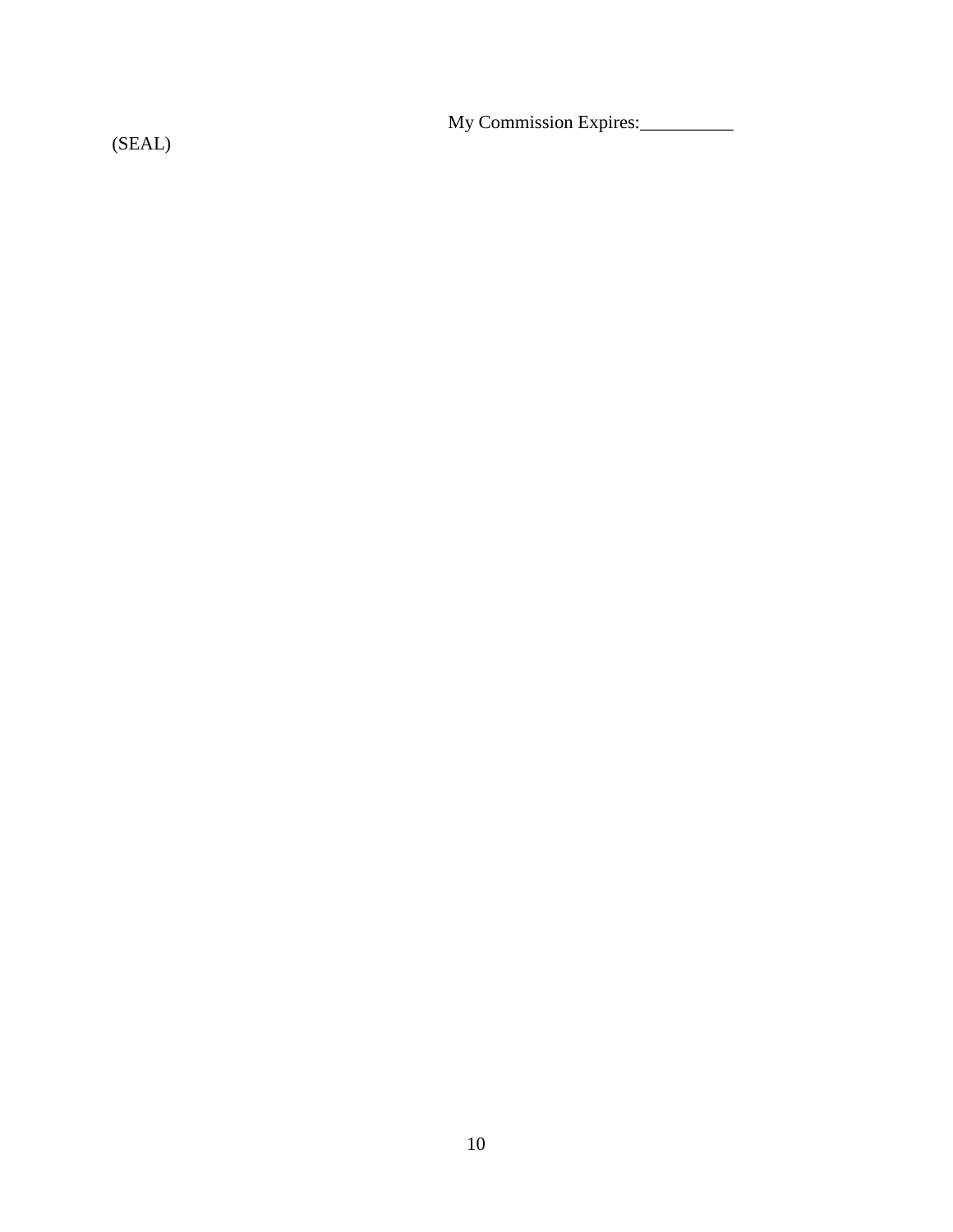My Commission Expires:\_\_\_\_\_\_\_\_\_\_

(SEAL)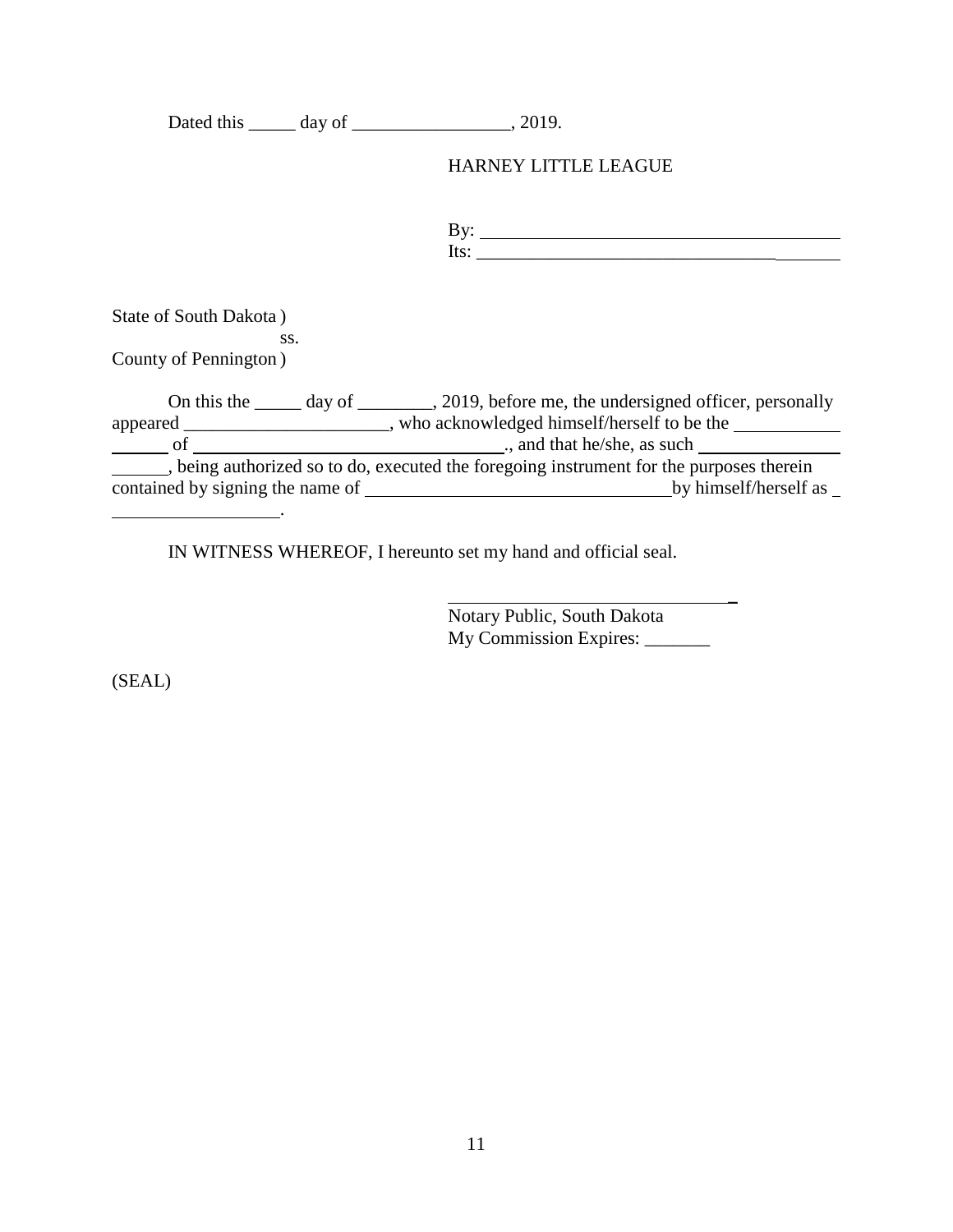|                                                                                                                        | <b>HARNEY LITTLE LEAGUE</b>                                                                                                                                                                                                                                                                                                                                                                                                                                                                          |
|------------------------------------------------------------------------------------------------------------------------|------------------------------------------------------------------------------------------------------------------------------------------------------------------------------------------------------------------------------------------------------------------------------------------------------------------------------------------------------------------------------------------------------------------------------------------------------------------------------------------------------|
|                                                                                                                        | By: $\qquad \qquad$<br>Its: $\frac{1}{\sqrt{1-\frac{1}{2}}\sqrt{1-\frac{1}{2}}\sqrt{1-\frac{1}{2}}\sqrt{1-\frac{1}{2}}\sqrt{1-\frac{1}{2}}\sqrt{1-\frac{1}{2}}\sqrt{1-\frac{1}{2}}\sqrt{1-\frac{1}{2}}\sqrt{1-\frac{1}{2}}\sqrt{1-\frac{1}{2}}\sqrt{1-\frac{1}{2}}\sqrt{1-\frac{1}{2}}\sqrt{1-\frac{1}{2}}\sqrt{1-\frac{1}{2}}\sqrt{1-\frac{1}{2}}\sqrt{1-\frac{1}{2}}\sqrt{1-\frac{1}{2}}\sqrt{1-\frac{1}{2}}\sqrt{1-\frac{1}{2}}\$                                                                 |
| State of South Dakota)<br>SS.<br>County of Pennington)                                                                 |                                                                                                                                                                                                                                                                                                                                                                                                                                                                                                      |
|                                                                                                                        | On this the ______ day of _________, 2019, before me, the undersigned officer, personally<br>appeared _________________________, who acknowledged himself/herself to be the ____________________<br>$\frac{1}{2}$ of $\frac{1}{2}$ of $\frac{1}{2}$ of $\frac{1}{2}$ of $\frac{1}{2}$ of $\frac{1}{2}$ of $\frac{1}{2}$ of $\frac{1}{2}$ of $\frac{1}{2}$ of $\frac{1}{2}$ of $\frac{1}{2}$ of $\frac{1}{2}$ of $\frac{1}{2}$ of $\frac{1}{2}$ of $\frac{1}{2}$ of $\frac{1}{2}$ of $\frac{1}{2}$ of |
| <u> 1989 - Johann Barbara, martin din santa di sebagai personal di sebagai personal di sebagai personal di sebagai</u> | being authorized so to do, executed the foregoing instrument for the purposes therein<br>by himself/herself as                                                                                                                                                                                                                                                                                                                                                                                       |

IN WITNESS WHEREOF, I hereunto set my hand and official seal.

Notary Public, South Dakota My Commission Expires: \_\_\_\_\_\_\_ \_

(SEAL)